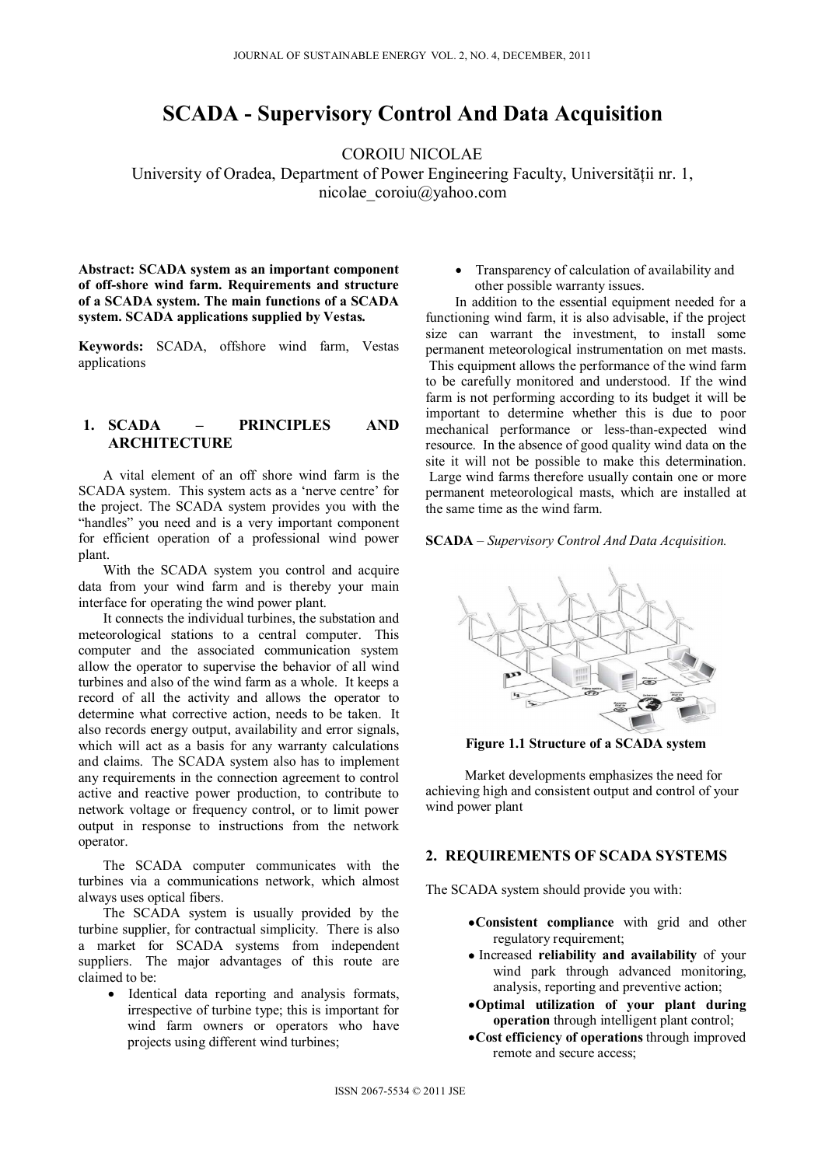# **SCADA - Supervisory Control And Data Acquisition**

COROIU NICOLAE

University of Oradea, Department of Power Engineering Faculty, Universităţii nr. 1, nicolae\_coroiu@yahoo.com

**Abstract: SCADA system as an important component of off-shore wind farm. Requirements and structure of a SCADA system. The main functions of a SCADA system. SCADA applications supplied by Vestas.** 

**Keywords:** SCADA, offshore wind farm, Vestas applications

# **1. SCADA – PRINCIPLES AND ARCHITECTURE**

A vital element of an off shore wind farm is the SCADA system. This system acts as a 'nerve centre' for the project. The SCADA system provides you with the "handles" you need and is a very important component for efficient operation of a professional wind power plant.

With the SCADA system you control and acquire data from your wind farm and is thereby your main interface for operating the wind power plant.

It connects the individual turbines, the substation and meteorological stations to a central computer. This computer and the associated communication system allow the operator to supervise the behavior of all wind turbines and also of the wind farm as a whole. It keeps a record of all the activity and allows the operator to determine what corrective action, needs to be taken. It also records energy output, availability and error signals, which will act as a basis for any warranty calculations and claims. The SCADA system also has to implement any requirements in the connection agreement to control active and reactive power production, to contribute to network voltage or frequency control, or to limit power output in response to instructions from the network operator.

The SCADA computer communicates with the turbines via a communications network, which almost always uses optical fibers.

The SCADA system is usually provided by the turbine supplier, for contractual simplicity. There is also a market for SCADA systems from independent suppliers. The major advantages of this route are claimed to be:

 Identical data reporting and analysis formats, irrespective of turbine type; this is important for wind farm owners or operators who have projects using different wind turbines;

• Transparency of calculation of availability and other possible warranty issues.

In addition to the essential equipment needed for a functioning wind farm, it is also advisable, if the project size can warrant the investment, to install some permanent meteorological instrumentation on met masts. This equipment allows the performance of the wind farm to be carefully monitored and understood. If the wind farm is not performing according to its budget it will be important to determine whether this is due to poor mechanical performance or less-than-expected wind resource. In the absence of good quality wind data on the site it will not be possible to make this determination. Large wind farms therefore usually contain one or more permanent meteorological masts, which are installed at the same time as the wind farm.

#### **SCADA** – *Supervisory Control And Data Acquisition.*



**Figure 1.1 Structure of a SCADA system** 

Market developments emphasizes the need for achieving high and consistent output and control of your wind power plant

## **2. REQUIREMENTS OF SCADA SYSTEMS**

The SCADA system should provide you with:

- **Consistent compliance** with grid and other regulatory requirement;
- Increased **reliability and availability** of your wind park through advanced monitoring, analysis, reporting and preventive action;
- **Optimal utilization of your plant during operation** through intelligent plant control;
- **Cost efficiency of operations** through improved remote and secure access;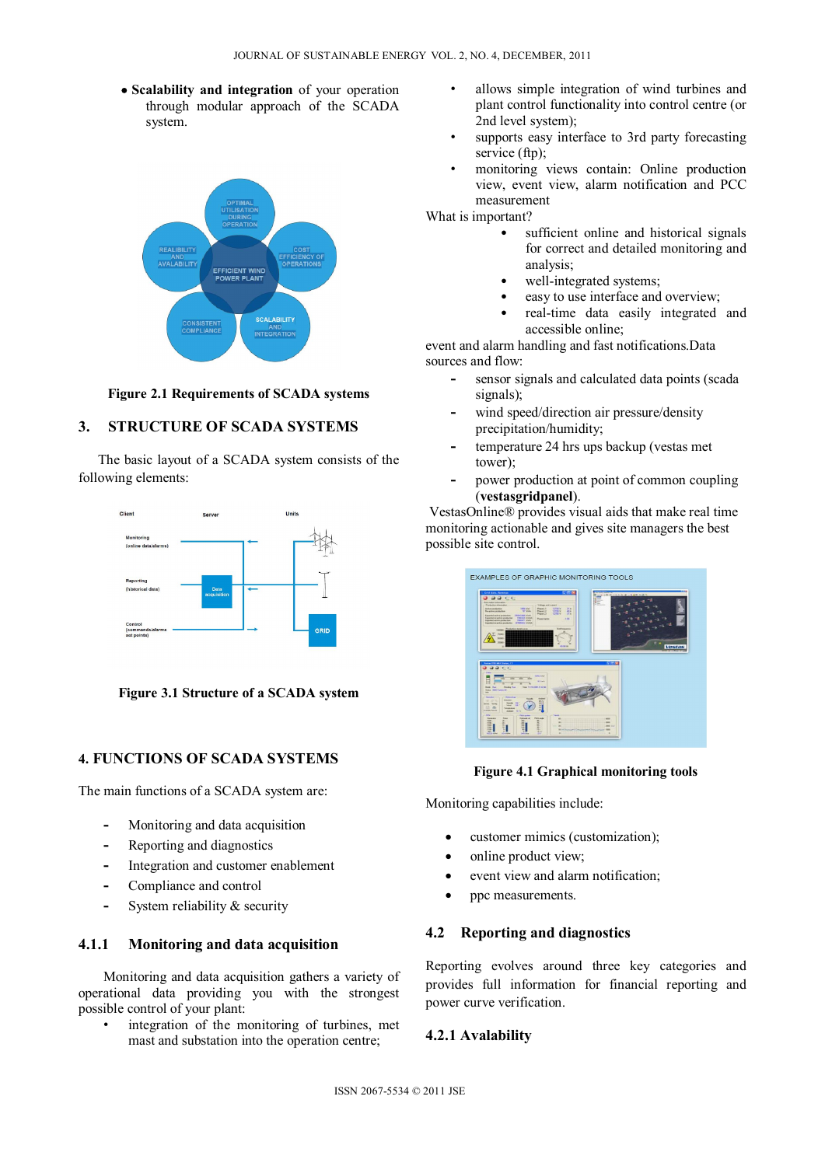**Scalability and integration** of your operation through modular approach of the SCADA system.



#### **Figure 2.1 Requirements of SCADA systems**

## **3. STRUCTURE OF SCADA SYSTEMS**

 The basic layout of a SCADA system consists of the following elements:



**Figure 3.1 Structure of a SCADA system** 

# **4. FUNCTIONS OF SCADA SYSTEMS**

The main functions of a SCADA system are:

- **-** Monitoring and data acquisition
- **-** Reporting and diagnostics
- **-** Integration and customer enablement
- **-** Compliance and control
- **-** System reliability & security

## **4.1.1 Monitoring and data acquisition**

Monitoring and data acquisition gathers a variety of operational data providing you with the strongest possible control of your plant:

integration of the monitoring of turbines, met mast and substation into the operation centre;

- allows simple integration of wind turbines and plant control functionality into control centre (or 2nd level system);
- supports easy interface to 3rd party forecasting service (ftp):
- monitoring views contain: Online production view, event view, alarm notification and PCC measurement

What is important?

- sufficient online and historical signals for correct and detailed monitoring and analysis;
- well-integrated systems;
- easy to use interface and overview:
- real-time data easily integrated and accessible online;

event and alarm handling and fast notifications.Data sources and flow:

- **-** sensor signals and calculated data points (scada signals);
- **-** wind speed/direction air pressure/density precipitation/humidity;
- **-** temperature 24 hrs ups backup (vestas met tower);
- **-** power production at point of common coupling (**vestasgridpanel**).

VestasOnline® provides visual aids that make real time monitoring actionable and gives site managers the best possible site control.



#### **Figure 4.1 Graphical monitoring tools**

Monitoring capabilities include:

- customer mimics (customization);
- online product view;
- event view and alarm notification;
- ppc measurements.

#### **4.2 Reporting and diagnostics**

Reporting evolves around three key categories and provides full information for financial reporting and power curve verification.

#### **4.2.1 Avalability**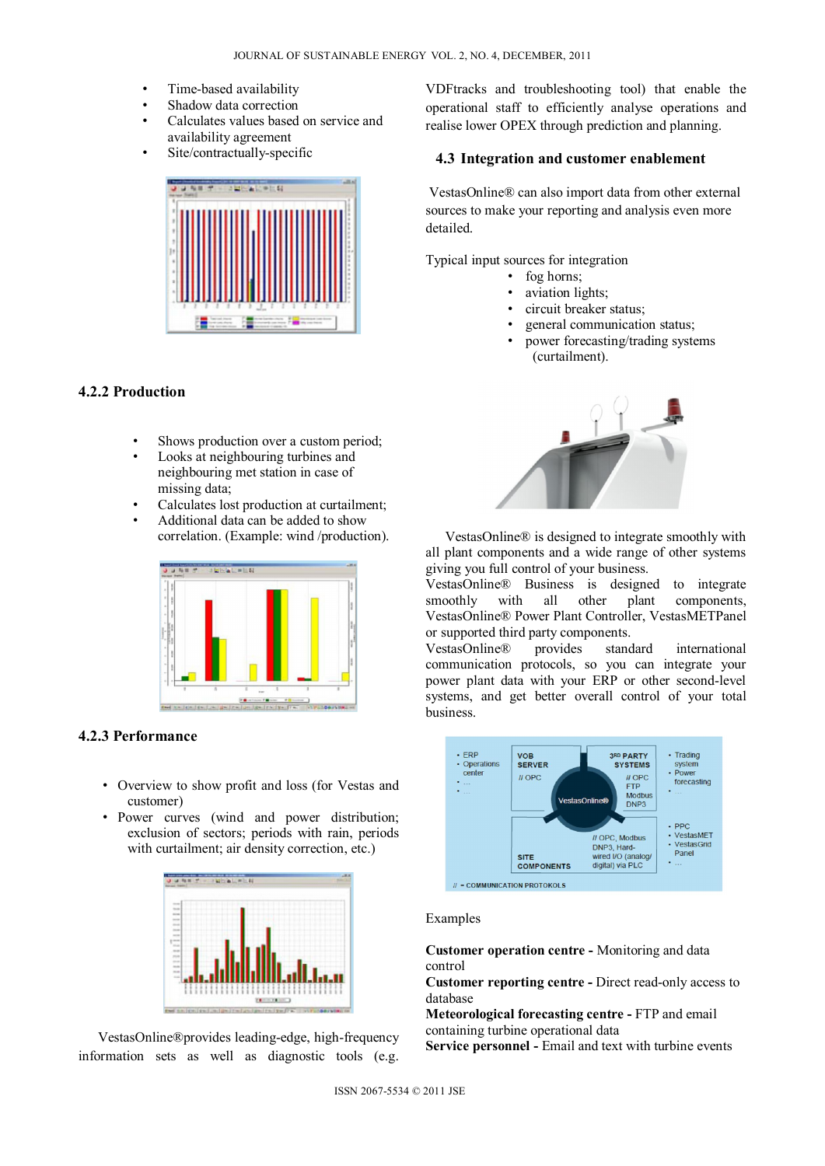- Time-based availability
- Shadow data correction
- Calculates values based on service and availability agreement
- Site/contractually-specific



## **4.2.2 Production**

- Shows production over a custom period;
- Looks at neighbouring turbines and neighbouring met station in case of missing data;
- Calculates lost production at curtailment;
- Additional data can be added to show correlation. (Example: wind /production).



# **4.2.3 Performance**

- Overview to show profit and loss (for Vestas and customer)
- Power curves (wind and power distribution; exclusion of sectors; periods with rain, periods with curtailment; air density correction, etc.)



VestasOnline®provides leading-edge, high-frequency information sets as well as diagnostic tools (e.g.

VDFtracks and troubleshooting tool) that enable the operational staff to efficiently analyse operations and realise lower OPEX through prediction and planning.

# **4.3 Integration and customer enablement**

 VestasOnline® can also import data from other external sources to make your reporting and analysis even more detailed.

Typical input sources for integration

- fog horns;
- aviation lights;
- circuit breaker status;
- general communication status;
- power forecasting/trading systems (curtailment).



VestasOnline® is designed to integrate smoothly with all plant components and a wide range of other systems giving you full control of your business.

VestasOnline® Business is designed to integrate smoothly with all other plant components, VestasOnline® Power Plant Controller, VestasMETPanel or supported third party components.

VestasOnline® provides standard international communication protocols, so you can integrate your power plant data with your ERP or other second-level systems, and get better overall control of your total business.



# Examples

**Customer operation centre -** Monitoring and data control

**Customer reporting centre -** Direct read-only access to database

**Meteorological forecasting centre -** FTP and email containing turbine operational data

**Service personnel - Email and text with turbine events**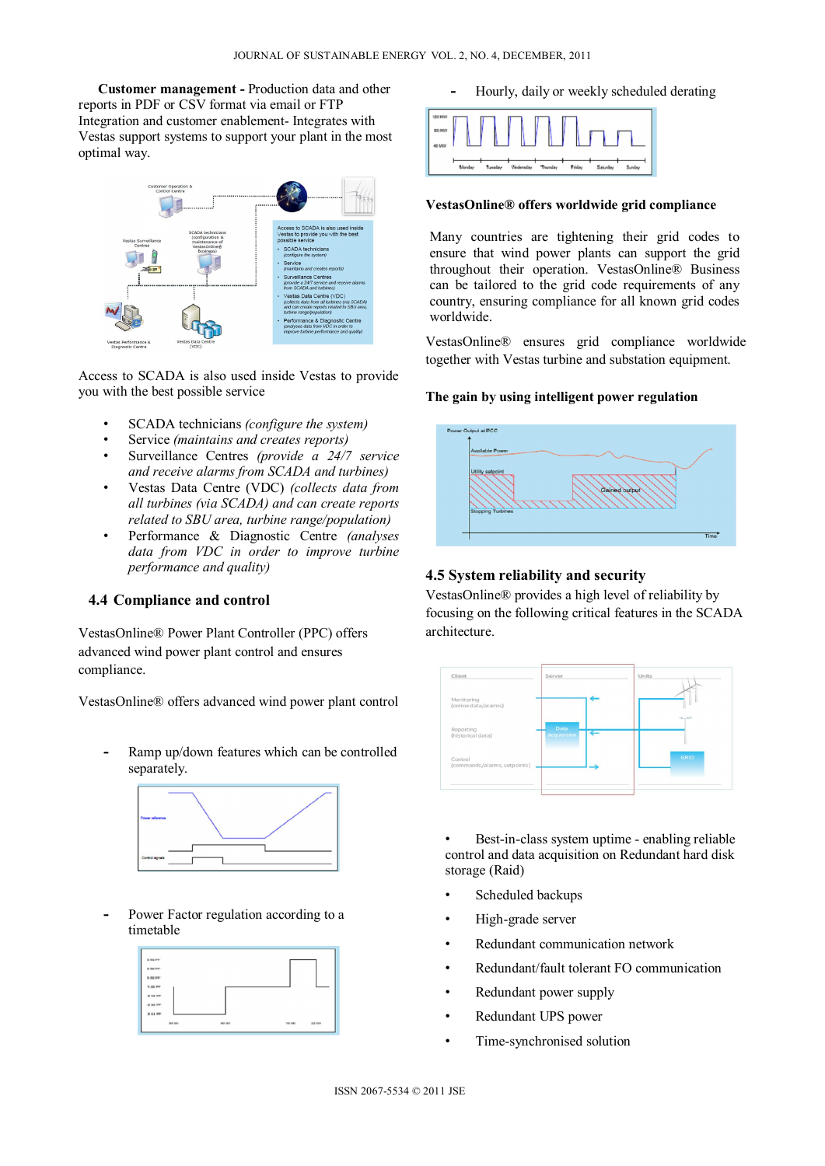**Customer management -** Production data and other reports in PDF or CSV format via email or FTP Integration and customer enablement- Integrates with Vestas support systems to support your plant in the most optimal way.



Access to SCADA is also used inside Vestas to provide you with the best possible service

- SCADA technicians *(configure the system)*
- Service *(maintains and creates reports)*
- Surveillance Centres *(provide a 24/7 service and receive alarms from SCADA and turbines)*
- Vestas Data Centre (VDC) *(collects data from all turbines (via SCADA) and can create reports related to SBU area, turbine range/population)*
- Performance & Diagnostic Centre *(analyses data from VDC in order to improve turbine performance and quality)*

# **4.4 Compliance and control**

VestasOnline® Power Plant Controller (PPC) offers advanced wind power plant control and ensures compliance.

VestasOnline® offers advanced wind power plant control

**-** Ramp up/down features which can be controlled separately.



**-** Power Factor regulation according to a timetable



**-** Hourly, daily or weekly scheduled derating



## **VestasOnline® offers worldwide grid compliance**

Many countries are tightening their grid codes to ensure that wind power plants can support the grid throughout their operation. VestasOnline® Business can be tailored to the grid code requirements of any country, ensuring compliance for all known grid codes worldwide.

VestasOnline® ensures grid compliance worldwide together with Vestas turbine and substation equipment.

## **The gain by using intelligent power regulation**



#### **4.5 System reliability and security**

VestasOnline® provides a high level of reliability by focusing on the following critical features in the SCADA architecture.



Best-in-class system uptime - enabling reliable control and data acquisition on Redundant hard disk storage (Raid)

- Scheduled backups
- High-grade server
- Redundant communication network
- Redundant/fault tolerant FO communication
- Redundant power supply
- Redundant UPS power
- Time-synchronised solution